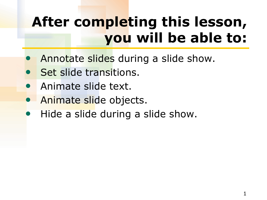# **After completing this lesson, you will be able to:**

- Annotate slides during a slide show.
- Set slide transitions.
- Animate slide text.
- Animate slide objects.
- Hide a slide during a slide show.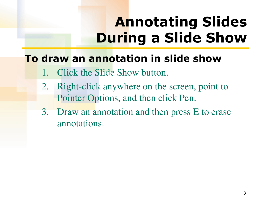# **Annotating Slides During a Slide Show**

### **To draw an annotation in slide show**

- Click the Slide Show button.
- 2. Right-click anywhere on the screen, point to Pointer Options, and then click Pen.
- 3. Draw an annotation and then press E to erase annotations.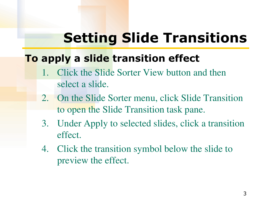# **Setting Slide Transitions**

### **To apply a slide transition effect**

- 1. Click the Slide Sorter View button and then select a slide.
- 2. On the Slide Sorter menu, click Slide Transition to open the Slide Transition task pane.
- 3. Under Apply to selected slides, click a transition effect.
- 4. Click the transition symbol below the slide to preview the effect.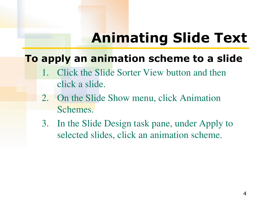## **Animating Slide Text**

### **To apply an animation scheme to a slide**

- 1. Click the Slide Sorter View button and then click a slide.
- 2. On the Slide Show menu, click Animation Schemes.
- 3. In the Slide Design task pane, under Apply to selected slides, click an animation scheme.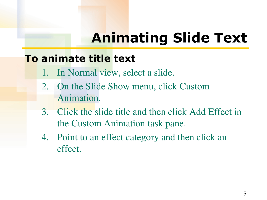## **Animating Slide Text**

#### **To animate title text**

- 1. In Normal view, select a slide.
- 2. On the Slide Show menu, click Custom Animation.
- 3. Click the slide title and then click Add Effect in the Custom Animation task pane.
- 4. Point to an effect category and then click an effect.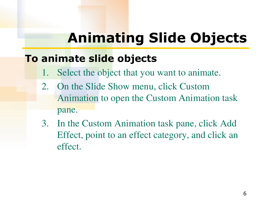# **Animating Slide Objects**

### **To animate slide objects**

- 1. Select the object that you want to animate.
- 2. On the Slide Show menu, click Custom Animation to open the Custom Animation task pane.
- 3. In the Custom Animation task pane, click Add Effect, point to an effect category, and click an effect.